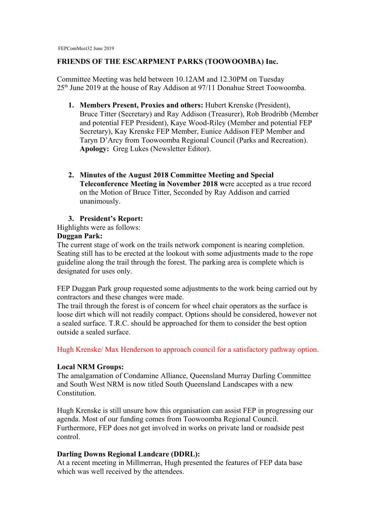## **FRIENDS OF THE ESCARPMENT PARKS (TOOWOOMBA) Inc.**

Committee Meeting was held between 10.12AM and 12.30PM on Tuesday 25<sup>th</sup> June 2019 at the house of Ray Addison at 97/11 Donahue Street Toowoomba.

- **1. Members Present, Proxies and others:** Hubert Krenske (President), Bruce Titter (Secretary) and Ray Addison (Treasurer), Rob Brodribb (Member and potential FEP President), Kaye Wood-Riley (Member and potential FEP Secretary), Kay Krenske FEP Member, Eunice Addison FEP Member and Taryn D'Arcy from Toowoomba Regional Council (Parks and Recreation). **Apology:** Greg Lukes (Newsletter Editor).
- **2. Minutes of the August 2018 Committee Meeting and Special Teleconference Meeting in November 2018 w**ere accepted as a true record on the Motion of Bruce Titter, Seconded by Ray Addison and carried unanimously.

# **3. President's Report:**

Highlights were as follows:

## **Duggan Park:**

The current stage of work on the trails network component is nearing completion. Seating still has to be erected at the lookout with some adjustments made to the rope guideline along the trail through the forest. The parking area is complete which is designated for uses only.

FEP Duggan Park group requested some adjustments to the work being carried out by contractors and these changes were made.

The trail through the forest is of concern for wheel chair operators as the surface is loose dirt which will not readily compact. Options should be considered, however not a sealed surface. T.R.C. should be approached for them to consider the best option outside a sealed surface.

Hugh Krenske/ Max Henderson to approach council for a satisfactory pathway option.

## **Local NRM Groups:**

The amalgamation of Condamine Alliance, Queensland Murray Darling Committee and South West NRM is now titled South Queensland Landscapes with a new Constitution.

Hugh Krenske is still unsure how this organisation can assist FEP in progressing our agenda. Most of our funding comes from Toowoomba Regional Council. Furthermore, FEP does not get involved in works on private land or roadside pest control.

## **Darling Downs Regional Landcare (DDRL):**

At a recent meeting in Millmerran, Hugh presented the features of FEP data base which was well received by the attendees.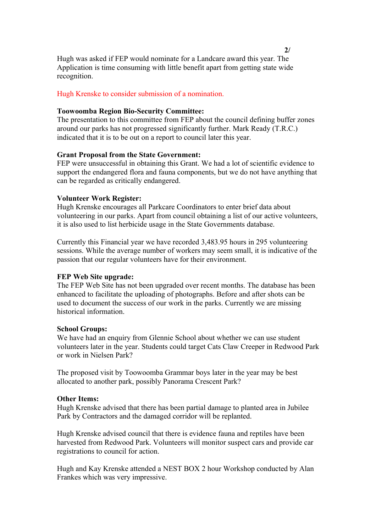Hugh was asked if FEP would nominate for a Landcare award this year. The Application is time consuming with little benefit apart from getting state wide recognition.

## Hugh Krenske to consider submission of a nomination.

## **Toowoomba Region Bio-Security Committee:**

The presentation to this committee from FEP about the council defining buffer zones around our parks has not progressed significantly further. Mark Ready (T.R.C.) indicated that it is to be out on a report to council later this year.

## **Grant Proposal from the State Government:**

FEP were unsuccessful in obtaining this Grant. We had a lot of scientific evidence to support the endangered flora and fauna components, but we do not have anything that can be regarded as critically endangered.

#### **Volunteer Work Register:**

Hugh Krenske encourages all Parkcare Coordinators to enter brief data about volunteering in our parks. Apart from council obtaining a list of our active volunteers, it is also used to list herbicide usage in the State Governments database.

Currently this Financial year we have recorded 3,483.95 hours in 295 volunteering sessions. While the average number of workers may seem small, it is indicative of the passion that our regular volunteers have for their environment.

#### **FEP Web Site upgrade:**

The FEP Web Site has not been upgraded over recent months. The database has been enhanced to facilitate the uploading of photographs. Before and after shots can be used to document the success of our work in the parks. Currently we are missing historical information.

#### **School Groups:**

We have had an enquiry from Glennie School about whether we can use student volunteers later in the year. Students could target Cats Claw Creeper in Redwood Park or work in Nielsen Park?

The proposed visit by Toowoomba Grammar boys later in the year may be best allocated to another park, possibly Panorama Crescent Park?

## **Other Items:**

Hugh Krenske advised that there has been partial damage to planted area in Jubilee Park by Contractors and the damaged corridor will be replanted.

Hugh Krenske advised council that there is evidence fauna and reptiles have been harvested from Redwood Park. Volunteers will monitor suspect cars and provide car registrations to council for action.

Hugh and Kay Krenske attended a NEST BOX 2 hour Workshop conducted by Alan Frankes which was very impressive.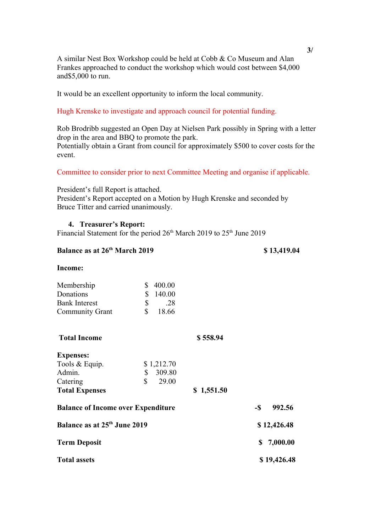A similar Nest Box Workshop could be held at Cobb & Co Museum and Alan Frankes approached to conduct the workshop which would cost between \$4,000 and\$5,000 to run.

It would be an excellent opportunity to inform the local community.

## Hugh Krenske to investigate and approach council for potential funding.

Rob Brodribb suggested an Open Day at Nielsen Park possibly in Spring with a letter drop in the area and BBQ to promote the park. Potentially obtain a Grant from council for approximately \$500 to cover costs for the event.

## Committee to consider prior to next Committee Meeting and organise if applicable.

President's full Report is attached. President's Report accepted on a Motion by Hugh Krenske and seconded by Bruce Titter and carried unanimously.

## **4. Treasurer's Report:**

Financial Statement for the period  $26<sup>th</sup>$  March 2019 to  $25<sup>th</sup>$  June 2019

| Balance as at 26 <sup>th</sup> March 2019 |            |            | \$13,419.04    |
|-------------------------------------------|------------|------------|----------------|
| Income:                                   |            |            |                |
| \$<br>Membership                          | 400.00     |            |                |
| \$<br>Donations                           | 140.00     |            |                |
| \$<br><b>Bank Interest</b>                | .28        |            |                |
| \$<br><b>Community Grant</b>              | 18.66      |            |                |
| <b>Total Income</b>                       |            | \$558.94   |                |
| <b>Expenses:</b>                          |            |            |                |
| Tools & Equip.                            | \$1,212.70 |            |                |
| Admin.<br>\$                              | 309.80     |            |                |
| \$<br>Catering                            | 29.00      |            |                |
| <b>Total Expenses</b>                     |            | \$1,551.50 |                |
| <b>Balance of Income over Expenditure</b> |            |            | $-S$<br>992.56 |
| Balance as at 25 <sup>th</sup> June 2019  |            |            | \$12,426.48    |
| <b>Term Deposit</b>                       |            |            | 7,000.00<br>\$ |
| <b>Total assets</b>                       |            |            | \$19,426.48    |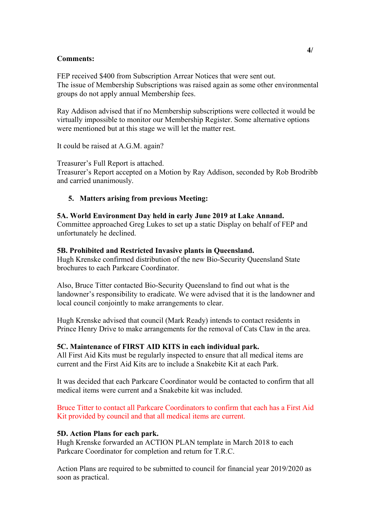## **Comments:**

FEP received \$400 from Subscription Arrear Notices that were sent out. The issue of Membership Subscriptions was raised again as some other environmental groups do not apply annual Membership fees.

Ray Addison advised that if no Membership subscriptions were collected it would be virtually impossible to monitor our Membership Register. Some alternative options were mentioned but at this stage we will let the matter rest.

It could be raised at A.G.M. again?

Treasurer's Full Report is attached. Treasurer's Report accepted on a Motion by Ray Addison, seconded by Rob Brodribb and carried unanimously.

# **5. Matters arising from previous Meeting:**

## **5A. World Environment Day held in early June 2019 at Lake Annand.** Committee approached Greg Lukes to set up a static Display on behalf of FEP and unfortunately he declined.

## **5B. Prohibited and Restricted Invasive plants in Queensland.**

Hugh Krenske confirmed distribution of the new Bio-Security Queensland State brochures to each Parkcare Coordinator.

Also, Bruce Titter contacted Bio-Security Queensland to find out what is the landowner's responsibility to eradicate. We were advised that it is the landowner and local council conjointly to make arrangements to clear.

Hugh Krenske advised that council (Mark Ready) intends to contact residents in Prince Henry Drive to make arrangements for the removal of Cats Claw in the area.

## **5C. Maintenance of FIRST AID KITS in each individual park.**

All First Aid Kits must be regularly inspected to ensure that all medical items are current and the First Aid Kits are to include a Snakebite Kit at each Park.

It was decided that each Parkcare Coordinator would be contacted to confirm that all medical items were current and a Snakebite kit was included.

Bruce Titter to contact all Parkcare Coordinators to confirm that each has a First Aid Kit provided by council and that all medical items are current.

## **5D. Action Plans for each park.**

Hugh Krenske forwarded an ACTION PLAN template in March 2018 to each Parkcare Coordinator for completion and return for T.R.C.

Action Plans are required to be submitted to council for financial year 2019/2020 as soon as practical.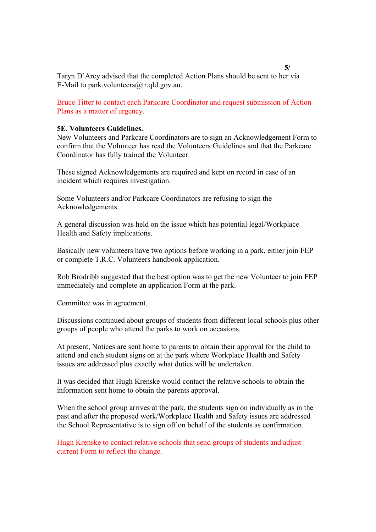Taryn D'Arcy advised that the completed Action Plans should be sent to her via E-Mail to park.volunteers@tr.qld.gov.au.

Bruce Titter to contact each Parkcare Coordinator and request submission of Action Plans as a matter of urgency.

### **5E. Volunteers Guidelines.**

New Volunteers and Parkcare Coordinators are to sign an Acknowledgement Form to confirm that the Volunteer has read the Volunteers Guidelines and that the Parkcare Coordinator has fully trained the Volunteer.

These signed Acknowledgements are required and kept on record in case of an incident which requires investigation.

Some Volunteers and/or Parkcare Coordinators are refusing to sign the Acknowledgements.

A general discussion was held on the issue which has potential legal/Workplace Health and Safety implications.

Basically new volunteers have two options before working in a park, either join FEP or complete T.R.C. Volunteers handbook application.

Rob Brodribb suggested that the best option was to get the new Volunteer to join FEP immediately and complete an application Form at the park.

Committee was in agreement.

Discussions continued about groups of students from different local schools plus other groups of people who attend the parks to work on occasions.

At present, Notices are sent home to parents to obtain their approval for the child to attend and each student signs on at the park where Workplace Health and Safety issues are addressed plus exactly what duties will be undertaken.

It was decided that Hugh Krenske would contact the relative schools to obtain the information sent home to obtain the parents approval.

When the school group arrives at the park, the students sign on individually as in the past and after the proposed work/Workplace Health and Safety issues are addressed the School Representative is to sign off on behalf of the students as confirmation.

Hugh Krenske to contact relative schools that send groups of students and adjust current Form to reflect the change.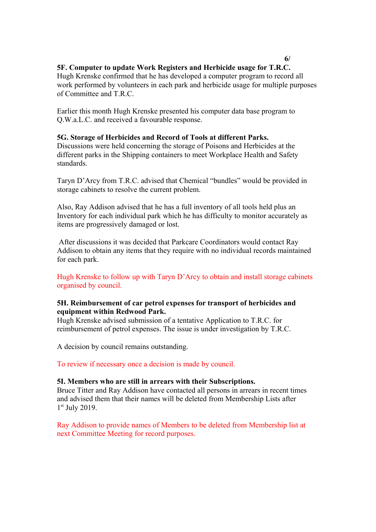# **6/**

# **5F. Computer to update Work Registers and Herbicide usage for T.R.C.**

Hugh Krenske confirmed that he has developed a computer program to record all work performed by volunteers in each park and herbicide usage for multiple purposes of Committee and T.R.C.

Earlier this month Hugh Krenske presented his computer data base program to Q.W.a.L.C. and received a favourable response.

# **5G. Storage of Herbicides and Record of Tools at different Parks.**

Discussions were held concerning the storage of Poisons and Herbicides at the different parks in the Shipping containers to meet Workplace Health and Safety standards.

Taryn D'Arcy from T.R.C. advised that Chemical "bundles" would be provided in storage cabinets to resolve the current problem.

Also, Ray Addison advised that he has a full inventory of all tools held plus an Inventory for each individual park which he has difficulty to monitor accurately as items are progressively damaged or lost.

 After discussions it was decided that Parkcare Coordinators would contact Ray Addison to obtain any items that they require with no individual records maintained for each park.

Hugh Krenske to follow up with Taryn D'Arcy to obtain and install storage cabinets organised by council.

# **5H. Reimbursement of car petrol expenses for transport of herbicides and equipment within Redwood Park.**

Hugh Krenske advised submission of a tentative Application to T.R.C. for reimbursement of petrol expenses. The issue is under investigation by T.R.C.

A decision by council remains outstanding.

To review if necessary once a decision is made by council.

## **5I. Members who are still in arrears with their Subscriptions.**

Bruce Titter and Ray Addison have contacted all persons in arrears in recent times and advised them that their names will be deleted from Membership Lists after 1 st July 2019.

Ray Addison to provide names of Members to be deleted from Membership list at next Committee Meeting for record purposes.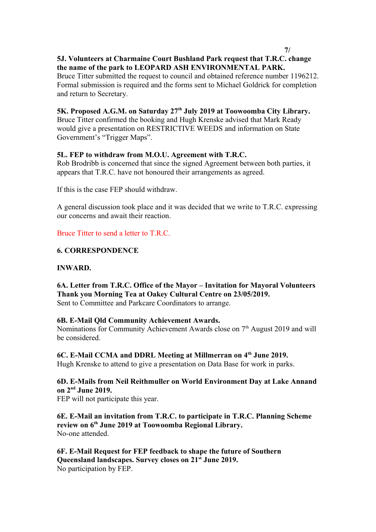# **5J. Volunteers at Charmaine Court Bushland Park request that T.R.C. change the name of the park to LEOPARD ASH ENVIRONMENTAL PARK.**

Bruce Titter submitted the request to council and obtained reference number 1196212. Formal submission is required and the forms sent to Michael Goldrick for completion and return to Secretary.

# **5K. Proposed A.G.M. on Saturday 27th July 2019 at Toowoomba City Library.**

Bruce Titter confirmed the booking and Hugh Krenske advised that Mark Ready would give a presentation on RESTRICTIVE WEEDS and information on State Government's "Trigger Maps".

# **5L. FEP to withdraw from M.O.U. Agreement with T.R.C.**

Rob Brodribb is concerned that since the signed Agreement between both parties, it appears that T.R.C. have not honoured their arrangements as agreed.

If this is the case FEP should withdraw.

A general discussion took place and it was decided that we write to T.R.C. expressing our concerns and await their reaction.

Bruce Titter to send a letter to T.R.C.

# **6. CORRESPONDENCE**

## **INWARD.**

**6A. Letter from T.R.C. Office of the Mayor – Invitation for Mayoral Volunteers Thank you Morning Tea at Oakey Cultural Centre on 23/05/2019.** Sent to Committee and Parkcare Coordinators to arrange.

## **6B. E-Mail Qld Community Achievement Awards.**

Nominations for Community Achievement Awards close on 7<sup>th</sup> August 2019 and will be considered.

**6C. E-Mail CCMA and DDRL Meeting at Millmerran on 4th June 2019.** Hugh Krenske to attend to give a presentation on Data Base for work in parks.

# **6D. E-Mails from Neil Reithmuller on World Environment Day at Lake Annand on 2nd June 2019.**

FEP will not participate this year.

**6E. E-Mail an invitation from T.R.C. to participate in T.R.C. Planning Scheme review on 6th June 2019 at Toowoomba Regional Library.** No-one attended.

**6F. E-Mail Request for FEP feedback to shape the future of Southern Queensland landscapes. Survey closes on 21st June 2019.** No participation by FEP.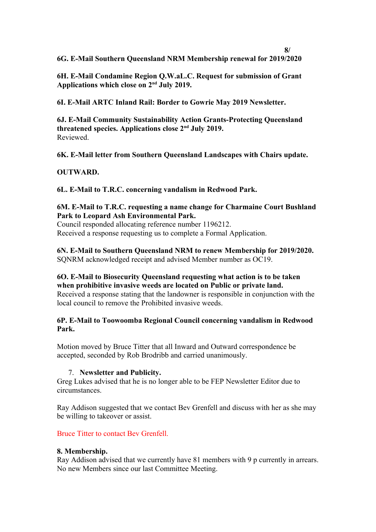**6G. E-Mail Southern Queensland NRM Membership renewal for 2019/2020**

**6H. E-Mail Condamine Region Q.W.aL.C. Request for submission of Grant Applications which close on 2nd July 2019.**

**6I. E-Mail ARTC Inland Rail: Border to Gowrie May 2019 Newsletter.**

**6J. E-Mail Community Sustainability Action Grants-Protecting Queensland threatened species. Applications close 2nd July 2019.** Reviewed.

**6K. E-Mail letter from Southern Queensland Landscapes with Chairs update.**

# **OUTWARD.**

**6L. E-Mail to T.R.C. concerning vandalism in Redwood Park.**

# **6M. E-Mail to T.R.C. requesting a name change for Charmaine Court Bushland Park to Leopard Ash Environmental Park.**

Council responded allocating reference number 1196212. Received a response requesting us to complete a Formal Application.

**6N. E-Mail to Southern Queensland NRM to renew Membership for 2019/2020.** SQNRM acknowledged receipt and advised Member number as OC19.

**6O. E-Mail to Biosecurity Queensland requesting what action is to be taken when prohibitive invasive weeds are located on Public or private land.** Received a response stating that the landowner is responsible in conjunction with the local council to remove the Prohibited invasive weeds.

# **6P. E-Mail to Toowoomba Regional Council concerning vandalism in Redwood Park.**

Motion moved by Bruce Titter that all Inward and Outward correspondence be accepted, seconded by Rob Brodribb and carried unanimously.

## 7. **Newsletter and Publicity.**

Greg Lukes advised that he is no longer able to be FEP Newsletter Editor due to circumstances.

Ray Addison suggested that we contact Bev Grenfell and discuss with her as she may be willing to takeover or assist.

Bruce Titter to contact Bev Grenfell.

## **8. Membership.**

Ray Addison advised that we currently have 81 members with 9 p currently in arrears. No new Members since our last Committee Meeting.